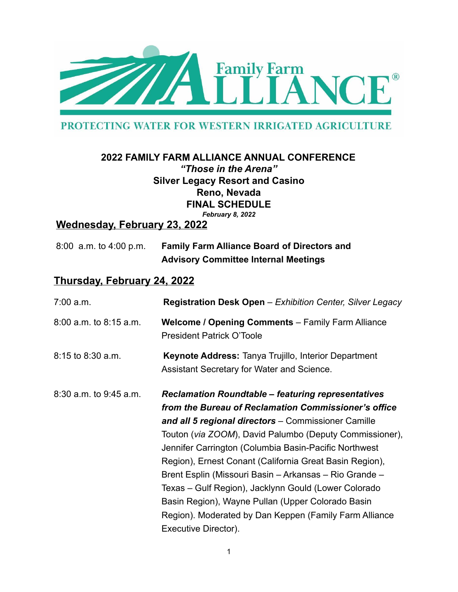

PROTECTING WATER FOR WESTERN IRRIGATED AGRICULTURE

#### **2022 FAMILY FARM ALLIANCE ANNUAL CONFERENCE** *"Those in the Arena"* **Silver Legacy Resort and Casino Reno, Nevada FINAL SCHEDULE**

*February 8, 2022*

## **Wednesday, February 23, 2022**

| 8.00 a.m. to 4.00 p.m. | <b>Family Farm Alliance Board of Directors and</b> |
|------------------------|----------------------------------------------------|
|                        | <b>Advisory Committee Internal Meetings</b>        |

### **Thursday, February 24, 2022**

| 7:00 a.m.                  | Registration Desk Open - Exhibition Center, Silver Legacy                                                                                                                                                                                                                                                                                                                                                                                                                                                                      |
|----------------------------|--------------------------------------------------------------------------------------------------------------------------------------------------------------------------------------------------------------------------------------------------------------------------------------------------------------------------------------------------------------------------------------------------------------------------------------------------------------------------------------------------------------------------------|
| 8:00 a.m. to 8:15 a.m.     | <b>Welcome / Opening Comments</b> – Family Farm Alliance<br><b>President Patrick O'Toole</b>                                                                                                                                                                                                                                                                                                                                                                                                                                   |
| $8:15$ to $8:30$ a.m.      | <b>Keynote Address: Tanya Trujillo, Interior Department</b><br>Assistant Secretary for Water and Science.                                                                                                                                                                                                                                                                                                                                                                                                                      |
| $8:30$ a.m. to $9:45$ a.m. | <b>Reclamation Roundtable - featuring representatives</b><br>from the Bureau of Reclamation Commissioner's office<br>and all 5 regional directors – Commissioner Camille<br>Touton (via ZOOM), David Palumbo (Deputy Commissioner),<br>Jennifer Carrington (Columbia Basin-Pacific Northwest<br>Region), Ernest Conant (California Great Basin Region),<br>Brent Esplin (Missouri Basin – Arkansas – Rio Grande –<br>Texas – Gulf Region), Jacklynn Gould (Lower Colorado<br>Basin Region), Wayne Pullan (Upper Colorado Basin |
|                            | Region). Moderated by Dan Keppen (Family Farm Alliance<br>Executive Director).                                                                                                                                                                                                                                                                                                                                                                                                                                                 |

1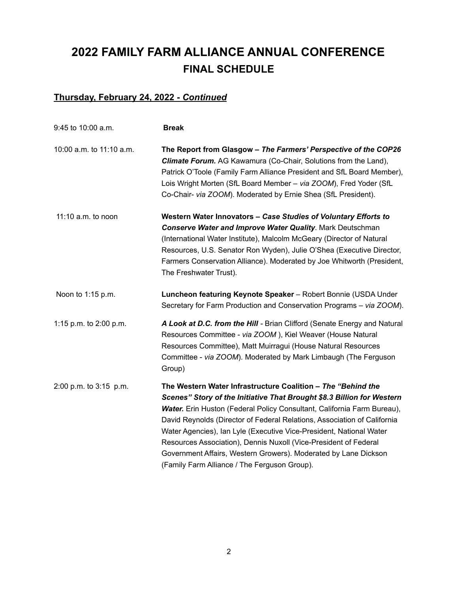# **2022 FAMILY FARM ALLIANCE ANNUAL CONFERENCE FINAL SCHEDULE**

## **Thursday, February 24, 2022 -** *Continued*

| 9:45 to 10:00 a.m.       | <b>Break</b>                                                                                                                                                                                                                                                                                                                                                                                                                                                                                                                                                |
|--------------------------|-------------------------------------------------------------------------------------------------------------------------------------------------------------------------------------------------------------------------------------------------------------------------------------------------------------------------------------------------------------------------------------------------------------------------------------------------------------------------------------------------------------------------------------------------------------|
| 10:00 a.m. to 11:10 a.m. | The Report from Glasgow - The Farmers' Perspective of the COP26<br><b>Climate Forum.</b> AG Kawamura (Co-Chair, Solutions from the Land),<br>Patrick O'Toole (Family Farm Alliance President and SfL Board Member),<br>Lois Wright Morten (SfL Board Member - via ZOOM), Fred Yoder (SfL<br>Co-Chair- via ZOOM). Moderated by Ernie Shea (SfL President).                                                                                                                                                                                                   |
| 11:10 a.m. to noon       | Western Water Innovators - Case Studies of Voluntary Efforts to<br><b>Conserve Water and Improve Water Quality. Mark Deutschman</b><br>(International Water Institute), Malcolm McGeary (Director of Natural<br>Resources, U.S. Senator Ron Wyden), Julie O'Shea (Executive Director,<br>Farmers Conservation Alliance). Moderated by Joe Whitworth (President,<br>The Freshwater Trust).                                                                                                                                                                   |
| Noon to 1:15 p.m.        | Luncheon featuring Keynote Speaker - Robert Bonnie (USDA Under<br>Secretary for Farm Production and Conservation Programs - via ZOOM).                                                                                                                                                                                                                                                                                                                                                                                                                      |
| 1:15 p.m. to 2:00 p.m.   | A Look at D.C. from the Hill - Brian Clifford (Senate Energy and Natural<br>Resources Committee - via ZOOM), Kiel Weaver (House Natural<br>Resources Committee), Matt Muirragui (House Natural Resources<br>Committee - via ZOOM). Moderated by Mark Limbaugh (The Ferguson<br>Group)                                                                                                                                                                                                                                                                       |
| 2:00 p.m. to 3:15 p.m.   | The Western Water Infrastructure Coalition - The "Behind the<br>Scenes" Story of the Initiative That Brought \$8.3 Billion for Western<br>Water. Erin Huston (Federal Policy Consultant, California Farm Bureau),<br>David Reynolds (Director of Federal Relations, Association of California<br>Water Agencies), Ian Lyle (Executive Vice-President, National Water<br>Resources Association), Dennis Nuxoll (Vice-President of Federal<br>Government Affairs, Western Growers). Moderated by Lane Dickson<br>(Family Farm Alliance / The Ferguson Group). |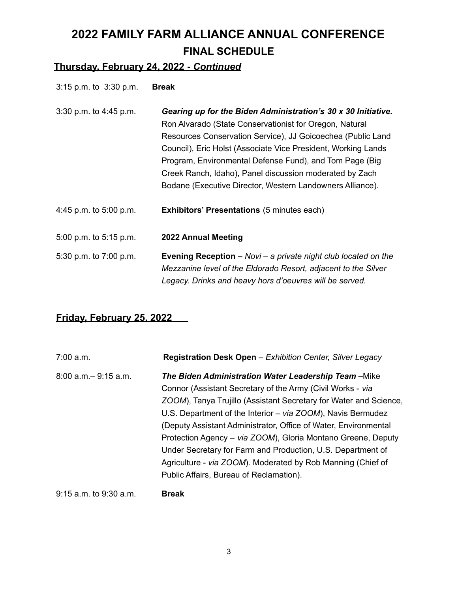# **2022 FAMILY FARM ALLIANCE ANNUAL CONFERENCE FINAL SCHEDULE**

#### **Thursday, February 24, 2022 -** *Continued*

3:15 p.m. to 3:30 p.m. **Break**

| 3:30 p.m. to 4:45 p.m. | Gearing up for the Biden Administration's 30 x 30 Initiative.<br>Ron Alvarado (State Conservationist for Oregon, Natural<br>Resources Conservation Service), JJ Goicoechea (Public Land<br>Council), Eric Holst (Associate Vice President, Working Lands<br>Program, Environmental Defense Fund), and Tom Page (Big)<br>Creek Ranch, Idaho), Panel discussion moderated by Zach<br>Bodane (Executive Director, Western Landowners Alliance). |
|------------------------|----------------------------------------------------------------------------------------------------------------------------------------------------------------------------------------------------------------------------------------------------------------------------------------------------------------------------------------------------------------------------------------------------------------------------------------------|
| 4:45 p.m. to 5:00 p.m. | <b>Exhibitors' Presentations (5 minutes each)</b>                                                                                                                                                                                                                                                                                                                                                                                            |
| 5:00 p.m. to 5:15 p.m. | 2022 Annual Meeting                                                                                                                                                                                                                                                                                                                                                                                                                          |
| 5:30 p.m. to 7:00 p.m. | <b>Evening Reception – Novi</b> – a private night club located on the<br>Mezzanine level of the Eldorado Resort, adjacent to the Silver<br>Legacy. Drinks and heavy hors d'oeuvres will be served.                                                                                                                                                                                                                                           |

## **Friday, February 25, 2022**

| 7:00 a.m.                  | Registration Desk Open - Exhibition Center, Silver Legacy         |
|----------------------------|-------------------------------------------------------------------|
| $8:00$ a.m. $-9:15$ a.m.   | The Biden Administration Water Leadership Team - Mike             |
|                            | Connor (Assistant Secretary of the Army (Civil Works - via        |
|                            | ZOOM), Tanya Trujillo (Assistant Secretary for Water and Science, |
|                            | U.S. Department of the Interior – via ZOOM), Navis Bermudez       |
|                            | (Deputy Assistant Administrator, Office of Water, Environmental   |
|                            | Protection Agency - via ZOOM), Gloria Montano Greene, Deputy      |
|                            | Under Secretary for Farm and Production, U.S. Department of       |
|                            | Agriculture - via ZOOM). Moderated by Rob Manning (Chief of       |
|                            | Public Affairs, Bureau of Reclamation).                           |
| $9:15$ a.m. to $9:30$ a.m. | <b>Break</b>                                                      |